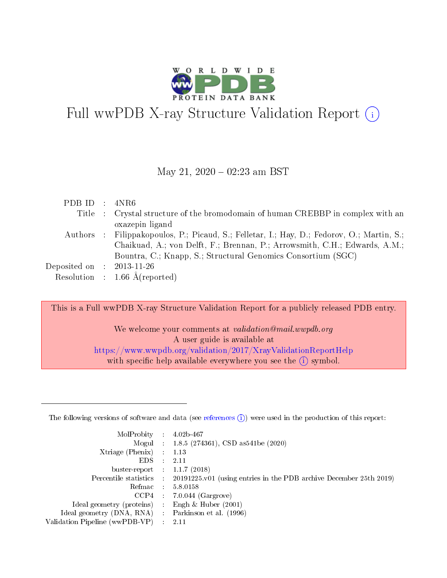

# Full wwPDB X-ray Structure Validation Report  $(i)$

#### May 21,  $2020 - 02:23$  am BST

| PDB ID : $4NR6$             |                                                                                            |
|-----------------------------|--------------------------------------------------------------------------------------------|
|                             | Title : Crystal structure of the bromodomain of human CREBBP in complex with an            |
|                             | oxazepin ligand                                                                            |
|                             | Authors : Filippakopoulos, P.; Picaud, S.; Felletar, I.; Hay, D.; Fedorov, O.; Martin, S.; |
|                             | Chaikuad, A.; von Delft, F.; Brennan, P.; Arrowsmith, C.H.; Edwards, A.M.;                 |
|                             | Bountra, C.; Knapp, S.; Structural Genomics Consortium (SGC)                               |
| Deposited on : $2013-11-26$ |                                                                                            |
|                             | Resolution : $1.66 \text{ Å}$ (reported)                                                   |

This is a Full wwPDB X-ray Structure Validation Report for a publicly released PDB entry.

We welcome your comments at *validation@mail.wwpdb.org* A user guide is available at <https://www.wwpdb.org/validation/2017/XrayValidationReportHelp> with specific help available everywhere you see the  $(i)$  symbol.

The following versions of software and data (see [references](https://www.wwpdb.org/validation/2017/XrayValidationReportHelp#references)  $(1)$ ) were used in the production of this report:

| MolProbity :                   |               | $4.02b - 467$                                                               |
|--------------------------------|---------------|-----------------------------------------------------------------------------|
|                                |               | Mogul : $1.8.5$ (274361), CSD as 541be (2020)                               |
| $X$ triage (Phenix) :          |               | 1.13                                                                        |
| EDS.                           |               | 2.11                                                                        |
| buster-report : $1.1.7$ (2018) |               |                                                                             |
| Percentile statistics :        |               | $20191225 \text{v}01$ (using entries in the PDB archive December 25th 2019) |
| Refmac :                       |               | 5.8.0158                                                                    |
| $CCP4$ :                       |               | $7.0.044$ (Gargrove)                                                        |
| Ideal geometry (proteins) :    |               | Engh $\&$ Huber (2001)                                                      |
| Ideal geometry (DNA, RNA) :    |               | Parkinson et al. (1996)                                                     |
| Validation Pipeline (wwPDB-VP) | $\mathcal{L}$ | 2.11                                                                        |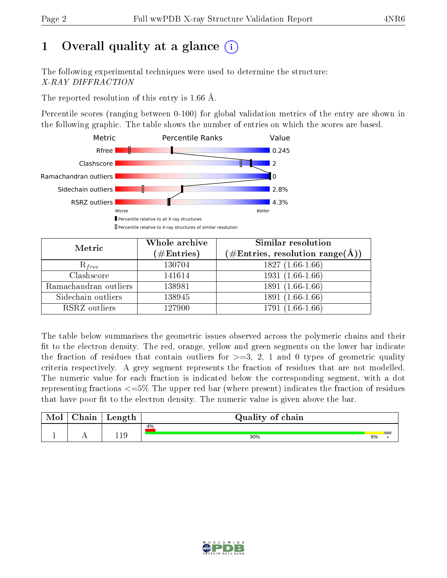## 1 [O](https://www.wwpdb.org/validation/2017/XrayValidationReportHelp#overall_quality)verall quality at a glance  $(i)$

The following experimental techniques were used to determine the structure: X-RAY DIFFRACTION

The reported resolution of this entry is 1.66 Å.

Percentile scores (ranging between 0-100) for global validation metrics of the entry are shown in the following graphic. The table shows the number of entries on which the scores are based.



| Metric                | Whole archive<br>$(\#\text{Entries})$ | Similar resolution<br>$(\#\text{Entries},\, \text{resolution}\; \text{range}(\textup{\AA}))$ |
|-----------------------|---------------------------------------|----------------------------------------------------------------------------------------------|
| $R_{free}$            | 130704                                | $1827(1.66-1.66)$                                                                            |
| Clashscore            | 141614                                | $1931(1.66-1.66)$                                                                            |
| Ramachandran outliers | 138981                                | $1891(1.66-1.66)$                                                                            |
| Sidechain outliers    | 138945                                | $1891(1.66-1.66)$                                                                            |
| RSRZ outliers         | 127900                                | $1791(1.66-1.66)$                                                                            |

The table below summarises the geometric issues observed across the polymeric chains and their fit to the electron density. The red, orange, yellow and green segments on the lower bar indicate the fraction of residues that contain outliers for  $>=3, 2, 1$  and 0 types of geometric quality criteria respectively. A grey segment represents the fraction of residues that are not modelled. The numeric value for each fraction is indicated below the corresponding segment, with a dot representing fractions  $\epsilon=5\%$  The upper red bar (where present) indicates the fraction of residues that have poor fit to the electron density. The numeric value is given above the bar.

| Mol | $\cap$ hain | Length | Quality of chain |    |  |
|-----|-------------|--------|------------------|----|--|
|     |             |        | 4%               |    |  |
|     |             | 10     | 90%              | 8% |  |

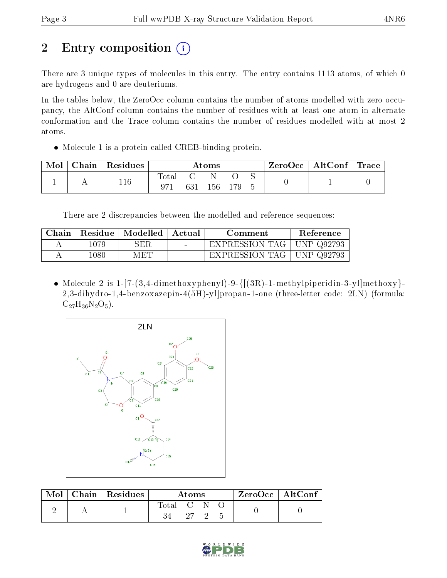# 2 Entry composition (i)

There are 3 unique types of molecules in this entry. The entry contains 1113 atoms, of which 0 are hydrogens and 0 are deuteriums.

In the tables below, the ZeroOcc column contains the number of atoms modelled with zero occupancy, the AltConf column contains the number of residues with at least one atom in alternate conformation and the Trace column contains the number of residues modelled with at most 2 atoms.

Molecule 1 is a protein called CREB-binding protein.

| Mol | Chain   Residues | $\rm{Atoms}$     |  |     |  |  | ZeroOcc   AltConf   Trace |  |
|-----|------------------|------------------|--|-----|--|--|---------------------------|--|
|     | 116              | $\mathrm{Total}$ |  | 156 |  |  |                           |  |

There are 2 discrepancies between the modelled and reference sequences:

| Chain |       | Residue   Modelled   Actual | Comment                     | Reference |
|-------|-------|-----------------------------|-----------------------------|-----------|
|       | 1079  | SER.                        | EXPRESSION TAG   UNP Q92793 |           |
|       | 1080- | MET                         | EXPRESSION TAG   UNP Q92793 |           |

 Molecule 2 is 1-[7-(3,4-dimethoxyphenyl)-9-{[(3R)-1-methylpiperidin-3-yl]methoxy}- 2,3-dihydro-1,4-benzoxazepin-4(5H)-yl]propan-1-one (three-letter code: 2LN) (formula:  $C_{27}H_{36}N_2O_5$ .



| Mol | $ $ Chain $ $ Residues | Atoms     |      |  |  | $ZeroOcc \mid AltConf \mid$ |
|-----|------------------------|-----------|------|--|--|-----------------------------|
|     |                        | Total C N |      |  |  |                             |
|     |                        |           | 27 2 |  |  |                             |

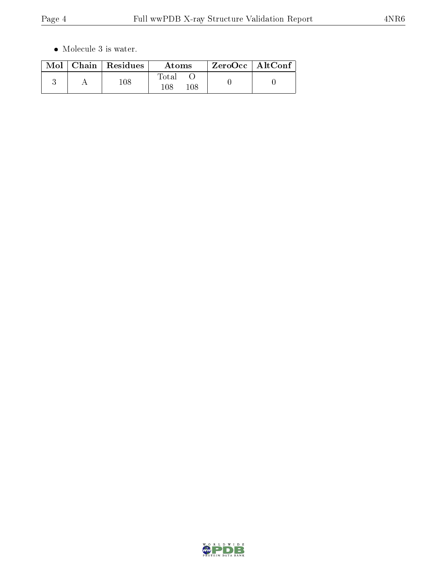$\bullet\,$  Molecule 3 is water.

|  | $Mol$   Chain   Residues | Atoms                   | $ZeroOcc \mid AltConf \mid$ |  |
|--|--------------------------|-------------------------|-----------------------------|--|
|  | 108                      | Total<br>$108\,$<br>108 |                             |  |

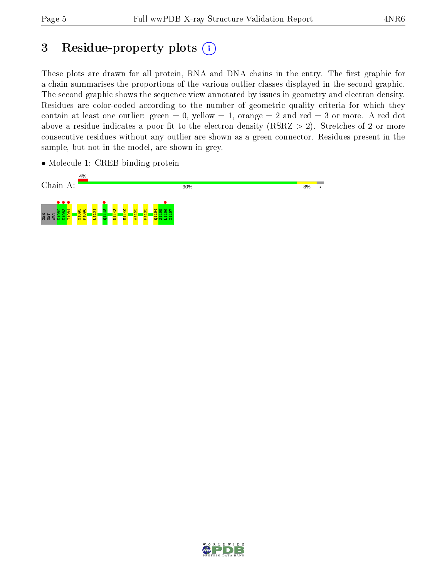## 3 Residue-property plots  $(i)$

These plots are drawn for all protein, RNA and DNA chains in the entry. The first graphic for a chain summarises the proportions of the various outlier classes displayed in the second graphic. The second graphic shows the sequence view annotated by issues in geometry and electron density. Residues are color-coded according to the number of geometric quality criteria for which they contain at least one outlier: green  $= 0$ , yellow  $= 1$ , orange  $= 2$  and red  $= 3$  or more. A red dot above a residue indicates a poor fit to the electron density (RSRZ  $> 2$ ). Stretches of 2 or more consecutive residues without any outlier are shown as a green connector. Residues present in the sample, but not in the model, are shown in grey.

• Molecule 1: CREB-binding protein



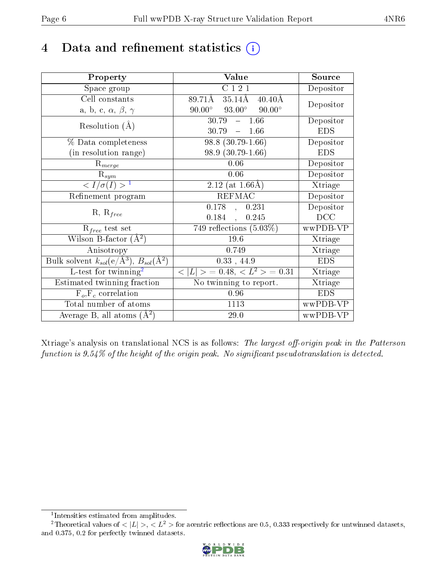## 4 Data and refinement statistics  $(i)$

| Property                                                         | Value                                                    | Source     |
|------------------------------------------------------------------|----------------------------------------------------------|------------|
| Space group                                                      | C121                                                     | Depositor  |
| Cell constants                                                   | $89.71\text{\AA}$<br>$35.14\rm \AA$<br>$40.40\text{\AA}$ | Depositor  |
| a, b, c, $\alpha$ , $\beta$ , $\gamma$                           | $93.00^\circ$<br>$90.00^\circ$<br>$90.00^{\circ}$        |            |
| Resolution $(A)$                                                 | 30.79<br>1.66<br>$\equiv$ .                              | Depositor  |
|                                                                  | 30.79<br>$-1.66$                                         | <b>EDS</b> |
| % Data completeness                                              | $98.8(30.79-1.66)$                                       | Depositor  |
| (in resolution range)                                            | 98.9 (30.79-1.66)                                        | <b>EDS</b> |
| $R_{merge}$                                                      | 0.06                                                     | Depositor  |
| $\mathrm{R}_{sym}$                                               | 0.06                                                     | Depositor  |
| $\langle I/\sigma(I) \rangle^{-1}$                               | $2.12$ (at 1.66Å)                                        | Xtriage    |
| Refinement program                                               | <b>REFMAC</b>                                            | Depositor  |
|                                                                  | $0.178$ ,<br>0.231                                       | Depositor  |
| $R, R_{free}$                                                    | $0.184$ ,<br>0.245                                       | DCC        |
| $R_{free}$ test set                                              | 749 reflections $(5.03\%)$                               | wwPDB-VP   |
| Wilson B-factor $(A^2)$                                          | 19.6                                                     | Xtriage    |
| Anisotropy                                                       | 0.749                                                    | Xtriage    |
| Bulk solvent $k_{sol}(\text{e}/\text{A}^3), B_{sol}(\text{A}^2)$ | $0.33$ , 44.9                                            | <b>EDS</b> |
| L-test for $\mathrm{twinning}^2$                                 | $< L >$ = 0.48, $< L2 >$ = 0.31                          | Xtriage    |
| Estimated twinning fraction                                      | No twinning to report.                                   | Xtriage    |
| $\overline{F_o}, \overline{F_c}$ correlation                     | 0.96                                                     | <b>EDS</b> |
| Total number of atoms                                            | 1113                                                     | wwPDB-VP   |
| Average B, all atoms $(A^2)$                                     | 29.0                                                     | wwPDB-VP   |

Xtriage's analysis on translational NCS is as follows: The largest off-origin peak in the Patterson function is  $9.54\%$  of the height of the origin peak. No significant pseudotranslation is detected.

<sup>&</sup>lt;sup>2</sup>Theoretical values of  $\langle |L| \rangle$ ,  $\langle L^2 \rangle$  for acentric reflections are 0.5, 0.333 respectively for untwinned datasets, and 0.375, 0.2 for perfectly twinned datasets.



<span id="page-5-1"></span><span id="page-5-0"></span><sup>1</sup> Intensities estimated from amplitudes.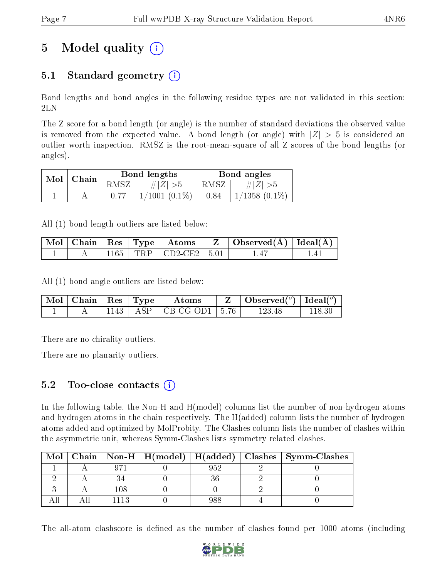## 5 Model quality  $(i)$

### 5.1 Standard geometry  $(i)$

Bond lengths and bond angles in the following residue types are not validated in this section: 2LN

The Z score for a bond length (or angle) is the number of standard deviations the observed value is removed from the expected value. A bond length (or angle) with  $|Z| > 5$  is considered an outlier worth inspection. RMSZ is the root-mean-square of all Z scores of the bond lengths (or angles).

| Mol | Chain |      | Bond lengths       | Bond angles |                    |  |
|-----|-------|------|--------------------|-------------|--------------------|--|
|     |       | RMSZ | # $ Z  > 5$        | RMSZ        | # $ Z  > 5$        |  |
|     |       |      | $1/1001$ $(0.1\%)$ | 0.84        | $1/1358$ $(0.1\%)$ |  |

All (1) bond length outliers are listed below:

|  |  |                             | $\mid$ Mol $\mid$ Chain $\mid$ Res $\mid$ Type $\mid$ Atoms $\mid$ Z $\mid$ Observed(A) $\mid$ Ideal(A) $\mid$ |  |
|--|--|-----------------------------|----------------------------------------------------------------------------------------------------------------|--|
|  |  | 1165   TRP   CD2-CE2   5.01 |                                                                                                                |  |

All (1) bond angle outliers are listed below:

|  |  | $\parallel$ Mol $\parallel$ Chain $\parallel$ Res $\parallel$ Type $\parallel$ Atoms | $\parallel$ Z $\parallel$ Observed( <sup>o</sup> ) $\parallel$ Ideal( <sup>o</sup> ) $\parallel$ |        |
|--|--|--------------------------------------------------------------------------------------|--------------------------------------------------------------------------------------------------|--------|
|  |  | 1143   ASP   CB-CG-OD1   5.76                                                        | 123.48                                                                                           | 118.30 |

There are no chirality outliers.

There are no planarity outliers.

#### $5.2$  Too-close contacts  $(i)$

In the following table, the Non-H and H(model) columns list the number of non-hydrogen atoms and hydrogen atoms in the chain respectively. The H(added) column lists the number of hydrogen atoms added and optimized by MolProbity. The Clashes column lists the number of clashes within the asymmetric unit, whereas Symm-Clashes lists symmetry related clashes.

| Mol |     |     | Chain   Non-H   H(model)   H(added)   Clashes   Symm-Clashes |
|-----|-----|-----|--------------------------------------------------------------|
|     |     | 952 |                                                              |
|     |     |     |                                                              |
|     | 108 |     |                                                              |
|     |     | 188 |                                                              |

The all-atom clashscore is defined as the number of clashes found per 1000 atoms (including

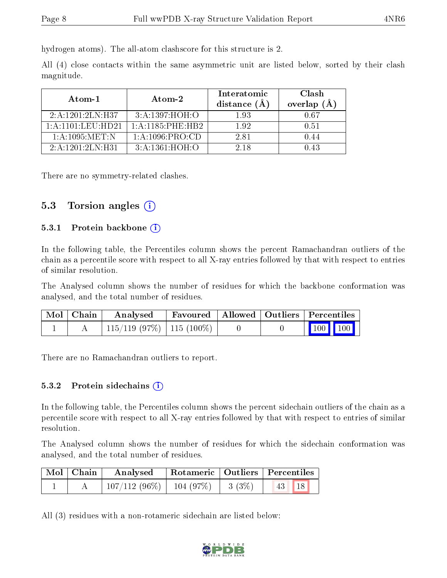hydrogen atoms). The all-atom clashscore for this structure is 2.

All (4) close contacts within the same asymmetric unit are listed below, sorted by their clash magnitude.

| Atom-1                    | Atom-2                 | Interatomic<br>distance (A | <b>Clash</b><br>overlap $(A)$ |
|---------------------------|------------------------|----------------------------|-------------------------------|
| 2:A:1201:2LN:H37          | 3: A:1397:HOH:O        | 1.93                       | 0.67                          |
| 1: A : 1101 : LEU : HD 21 | $1:$ A:1185: PHE: HB2. | 1.92                       | 0.51                          |
| 1: A: 1095: MET: N        | 1: A: 1096: PRO:CD     | 2.81                       | 1.44                          |
| 2:A:1201:2LN:H31          | 3: A:1361:HOH:O        | 2.18                       | 1 43                          |

There are no symmetry-related clashes.

### 5.3 Torsion angles (i)

#### 5.3.1 Protein backbone  $(i)$

In the following table, the Percentiles column shows the percent Ramachandran outliers of the chain as a percentile score with respect to all X-ray entries followed by that with respect to entries of similar resolution.

The Analysed column shows the number of residues for which the backbone conformation was analysed, and the total number of residues.

| $\mid$ Mol $\mid$ Chain $\mid$ | Analysed                   | Favoured   Allowed   Outliers   Percentiles |  |                     |  |
|--------------------------------|----------------------------|---------------------------------------------|--|---------------------|--|
|                                | 115/119 (97%)   115 (100%) |                                             |  | $\parallel$ 100 100 |  |

There are no Ramachandran outliers to report.

#### 5.3.2 Protein sidechains  $(i)$

In the following table, the Percentiles column shows the percent sidechain outliers of the chain as a percentile score with respect to all X-ray entries followed by that with respect to entries of similar resolution.

The Analysed column shows the number of residues for which the sidechain conformation was analysed, and the total number of residues.

| Mol   Chain | Analysed                     |             | Rotameric   Outliers   Percentiles |  |
|-------------|------------------------------|-------------|------------------------------------|--|
|             | $107/112(96\%)$   104 (97\%) | $  3 (3\%)$ | 18 <br> 43                         |  |

All (3) residues with a non-rotameric sidechain are listed below:

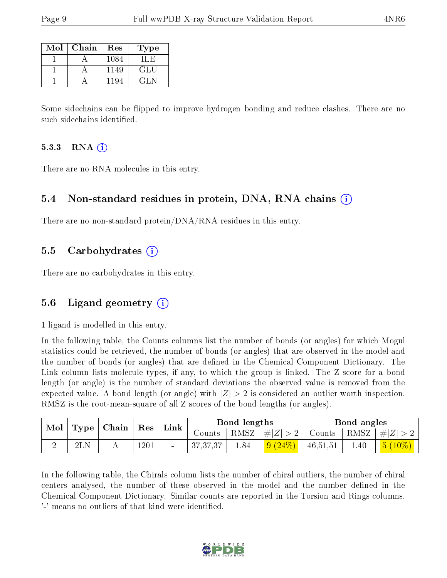| Mol | Chain | Res  | <b>Type</b> |
|-----|-------|------|-------------|
|     |       | 1084 | 11. H       |
|     |       | 1149 | <b>GLU</b>  |
|     |       | 1194 | CH N        |

Some sidechains can be flipped to improve hydrogen bonding and reduce clashes. There are no such sidechains identified.

#### 5.3.3 RNA  $(i)$

There are no RNA molecules in this entry.

#### 5.4 Non-standard residues in protein, DNA, RNA chains  $(i)$

There are no non-standard protein/DNA/RNA residues in this entry.

#### 5.5 Carbohydrates  $(i)$

There are no carbohydrates in this entry.

#### 5.6 Ligand geometry (i)

1 ligand is modelled in this entry.

In the following table, the Counts columns list the number of bonds (or angles) for which Mogul statistics could be retrieved, the number of bonds (or angles) that are observed in the model and the number of bonds (or angles) that are defined in the Chemical Component Dictionary. The Link column lists molecule types, if any, to which the group is linked. The Z score for a bond length (or angle) is the number of standard deviations the observed value is removed from the expected value. A bond length (or angle) with  $|Z| > 2$  is considered an outlier worth inspection. RMSZ is the root-mean-square of all Z scores of the bond lengths (or angles).

| $\bf{Mol}$ |     | $\mid$ Type $\mid$ Chain $\mid$ | $^{\circ}$ Res | Link | Bond lengths |          |                      | Bond angles |      |                                  |
|------------|-----|---------------------------------|----------------|------|--------------|----------|----------------------|-------------|------|----------------------------------|
|            |     |                                 |                |      | Counts       |          | $ RMSZ $ # $ Z  > 2$ |             |      | Counts   RMSZ $\vert \#  Z  > 2$ |
| ↵          | 2LN |                                 | 1201           |      | 37, 37, 37   | $1.84\,$ | $(24\%)$<br>9(       | 46,51,51    | 1.40 | $ 5(10\%) $                      |

In the following table, the Chirals column lists the number of chiral outliers, the number of chiral centers analysed, the number of these observed in the model and the number defined in the Chemical Component Dictionary. Similar counts are reported in the Torsion and Rings columns. '-' means no outliers of that kind were identified.

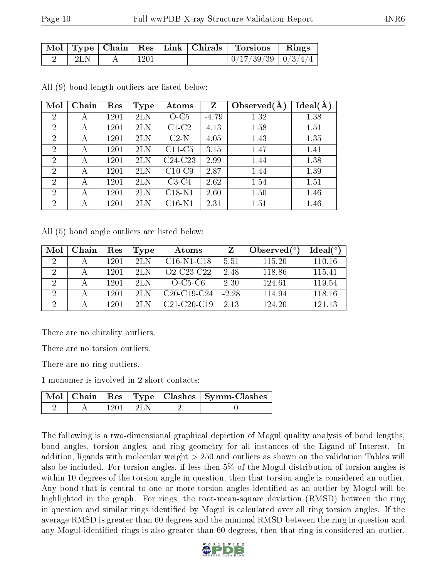|     |                      |                          |        | Mol   Type   Chain   Res   Link   Chirals   Torsions   Rings  |  |
|-----|----------------------|--------------------------|--------|---------------------------------------------------------------|--|
| 2LN | $\vert$ 1201 $\vert$ | <b>Contract Contract</b> | $\sim$ | $\frac{1}{10}/\frac{17}{39}/39 \cdot \frac{0}{3}/\frac{4}{4}$ |  |

| Mol            | Chain | Res  | <b>Type</b> | Atoms     | Z       | Observed $(A)$ | $Ideal(\AA)$ |
|----------------|-------|------|-------------|-----------|---------|----------------|--------------|
| $\overline{2}$ | А     | 1201 | 2LN         | $O-C5$    | $-4.79$ | 1.32           | 1.38         |
| $\overline{2}$ | А     | 1201 | 2LN         | $C1-C2$   | 4.13    | 1.58           | 1.51         |
| $\overline{2}$ | А     | 1201 | 2LN         | $C2-N$    | 4.05    | 1.43           | 1.35         |
| $\overline{2}$ | А     | 1201 | 2LN         | $C11-C5$  | 3.15    | 1.47           | 1.41         |
| $\overline{2}$ | А     | 1201 | 2LN         | $C24-C23$ | 2.99    | 1.44           | 1.38         |
| $\overline{2}$ | А     | 1201 | 2LN         | $C10-C9$  | 2.87    | 1.44           | 1.39         |
| $\overline{2}$ | А     | 1201 | 2LN         | $C3-C4$   | 2.62    | 1.54           | 1.51         |
| $\overline{2}$ | А     | 1201 | 2LN         | $C18-N1$  | 2.60    | 1.50           | 1.46         |
| $\overline{2}$ | А     | 1201 | 2LN         | $C16-N1$  | 2.31    | 1.51           | 1.46         |

All (9) bond length outliers are listed below:

All (5) bond angle outliers are listed below:

| Mol                  | Chain | Res  | Type | Atoms                                            |         | Observed $(°)$ | Ideal $(^\circ)$ |
|----------------------|-------|------|------|--------------------------------------------------|---------|----------------|------------------|
| $\mathcal{L}$        |       | 1201 | 2L N | $C16-N1-C18$                                     | 5.51    | 115.20         | 110.16           |
| $\overline{2}$       |       | 1201 | 2L N | O <sub>2</sub> -C <sub>23</sub> -C <sub>22</sub> | 2.48    | 118.86         | 115.41           |
| 2                    |       | 1201 | 2L N | $O$ -C <sub>5</sub> -C <sub>6</sub>              | 2.30    | 124.61         | 119.54           |
| $\overline{2}$       |       | 1201 | 2LN  | $C20-C19-C24$                                    | $-2.28$ | 114.94         | 118.16           |
| $\ddot{\phantom{0}}$ |       | 1201 | 9L N | $C21-C20-C19$                                    | 2.13    | 124.20         | 121 13           |

There are no chirality outliers.

There are no torsion outliers.

There are no ring outliers.

1 monomer is involved in 2 short contacts:

|  |            | Mol   Chain   Res   Type   Clashes   Symm-Clashes |
|--|------------|---------------------------------------------------|
|  | 1201   2LN |                                                   |

The following is a two-dimensional graphical depiction of Mogul quality analysis of bond lengths, bond angles, torsion angles, and ring geometry for all instances of the Ligand of Interest. In addition, ligands with molecular weight > 250 and outliers as shown on the validation Tables will also be included. For torsion angles, if less then 5% of the Mogul distribution of torsion angles is within 10 degrees of the torsion angle in question, then that torsion angle is considered an outlier. Any bond that is central to one or more torsion angles identified as an outlier by Mogul will be highlighted in the graph. For rings, the root-mean-square deviation (RMSD) between the ring in question and similar rings identified by Mogul is calculated over all ring torsion angles. If the average RMSD is greater than 60 degrees and the minimal RMSD between the ring in question and any Mogul-identified rings is also greater than 60 degrees, then that ring is considered an outlier.

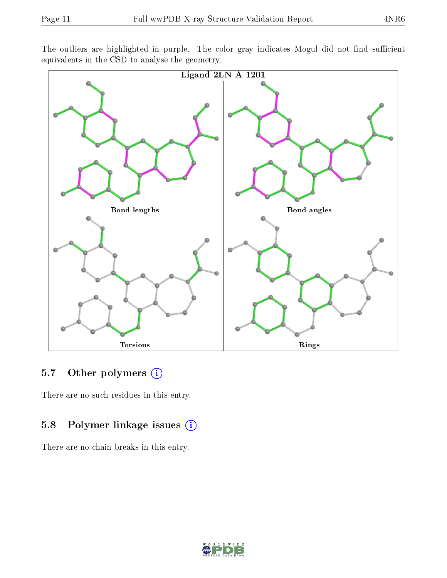The outliers are highlighted in purple. The color gray indicates Mogul did not find sufficient equivalents in the CSD to analyse the geometry.



#### 5.7 [O](https://www.wwpdb.org/validation/2017/XrayValidationReportHelp#nonstandard_residues_and_ligands)ther polymers (i)

There are no such residues in this entry.

### 5.8 Polymer linkage issues (i)

There are no chain breaks in this entry.

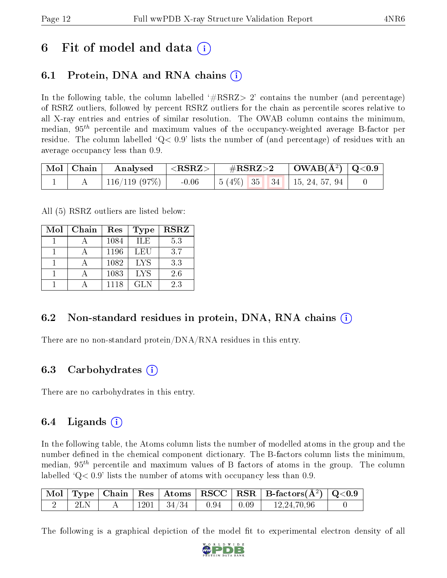### 6 Fit of model and data  $\left( \cdot \right)$

### 6.1 Protein, DNA and RNA chains (i)

In the following table, the column labelled  $#RSRZ>2'$  contains the number (and percentage) of RSRZ outliers, followed by percent RSRZ outliers for the chain as percentile scores relative to all X-ray entries and entries of similar resolution. The OWAB column contains the minimum, median,  $95<sup>th</sup>$  percentile and maximum values of the occupancy-weighted average B-factor per residue. The column labelled  $Q < 0.9$  lists the number of (and percentage) of residues with an average occupancy less than 0.9.

|  | $\mid$ Mol $\mid$ Chain $\mid$ Analysed $\mid$ <rsrz> <math>\mid</math></rsrz> |  |  |  |                                              |  |
|--|--------------------------------------------------------------------------------|--|--|--|----------------------------------------------|--|
|  | 116/119 (97%)                                                                  |  |  |  | $-0.06$   5 (4\%)   35   34   15, 24, 57, 94 |  |

All (5) RSRZ outliers are listed below:

| Mol | Chain | Res  | <b>Type</b> | <b>RSRZ</b> |
|-----|-------|------|-------------|-------------|
|     |       | 1084 | ILE         | 5.3         |
|     |       | 1196 | LEU         | 3.7         |
|     |       | 1082 | <b>LYS</b>  | 3.3         |
|     |       | 1083 | <b>LYS</b>  | 2.6         |
|     |       | 1118 | GL N        | 2.3         |

### 6.2 Non-standard residues in protein, DNA, RNA chains (i)

There are no non-standard protein/DNA/RNA residues in this entry.

#### 6.3 Carbohydrates (i)

There are no carbohydrates in this entry.

### 6.4 Ligands  $(i)$

In the following table, the Atoms column lists the number of modelled atoms in the group and the number defined in the chemical component dictionary. The B-factors column lists the minimum, median,  $95<sup>th</sup>$  percentile and maximum values of B factors of atoms in the group. The column labelled  $Q< 0.9$ ' lists the number of atoms with occupancy less than 0.9.

|     |  |                                    |  | $\begin{array}{ c c c c c c }\hline \text{Mol} & \text{Type} & \text{Chain} & \text{Res} & \text{Atoms} & \text{RSCC} & \text{RSR} & \text{B-factors}(\AA^2) & \text{Q<0.9}\hline \end{array}$ |  |
|-----|--|------------------------------------|--|------------------------------------------------------------------------------------------------------------------------------------------------------------------------------------------------|--|
| 2LN |  | $1201$   $34/34$   $0.94$   $0.09$ |  | 12,24,70,96                                                                                                                                                                                    |  |

The following is a graphical depiction of the model fit to experimental electron density of all